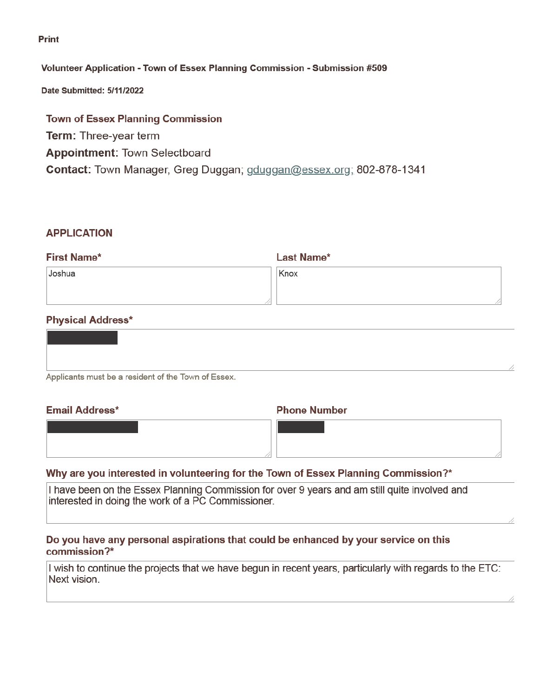Print

# Volunteer Application - Town of Essex Planning Commission - Submission #509

Date Submitted: 5/11/2022

# **Town of Essex Planning Commission Term: Three-year term Appointment: Town Selectboard** Contact: Town Manager, Greg Duggan; gduggan@essex.org; 802-878-1341

## **APPLICATION**

| <b>First Name*</b> | <b>Last Name*</b> |  |
|--------------------|-------------------|--|
| Joshua             | Knox              |  |
|                    |                   |  |
|                    |                   |  |

# **Physical Address\***

| Applicants must be a resident of the Town of Essex. |  |
|-----------------------------------------------------|--|

Ψŀ

#### **Email Address\***

#### **Phone Number**

# Why are you interested in volunteering for the Town of Essex Planning Commission?\*

I have been on the Essex Planning Commission for over 9 years and am still quite involved and interested in doing the work of a PC Commissioner.

# Do you have any personal aspirations that could be enhanced by your service on this commission?\*

I wish to continue the projects that we have begun in recent years, particularly with regards to the ETC: Next vision.